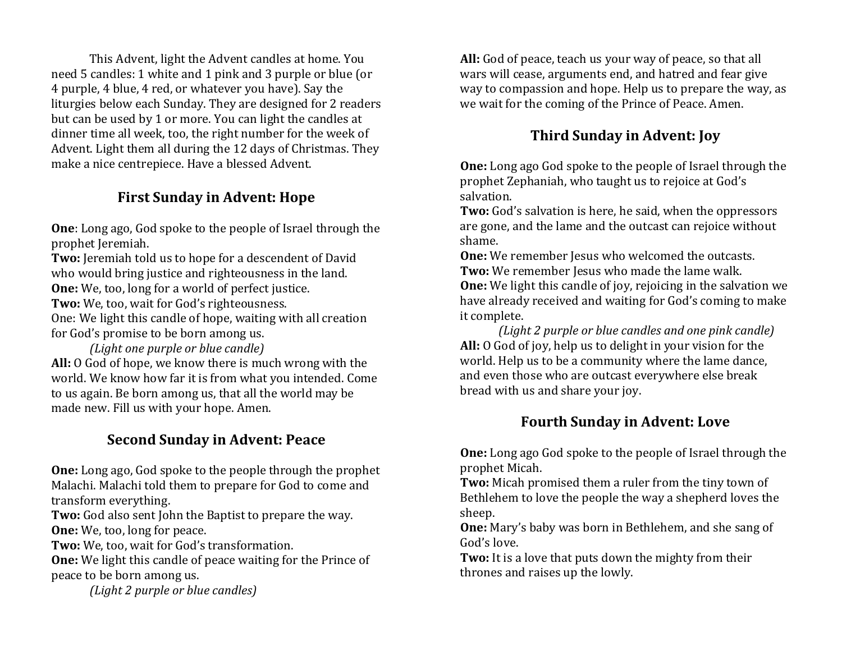This Advent, light the Advent candles at home. You need 5 candles: 1 white and 1 pink and 3 purple or blue (or 4 purple, 4 blue, 4 red, or whatever you have). Say the liturgies below each Sunday. They are designed for 2 readers but can be used by 1 or more. You can light the candles at dinner time all week, too, the right number for the week of Advent. Light them all during the 12 days of Christmas. They make a nice centrepiece. Have a blessed Advent.

#### **First Sunday in Advent: Hope**

**One**: Long ago, God spoke to the people of Israel through the prophet Jeremiah.

**Two:** Jeremiah told us to hope for a descendent of David who would bring justice and righteousness in the land. **One:** We, too, long for a world of perfect justice.

**Two:** We, too, wait for God's righteousness.

One: We light this candle of hope, waiting with all creation for God's promise to be born among us.

*(Light one purple or blue candle)* **All:** O God of hope, we know there is much wrong with the world. We know how far it is from what you intended. Come to us again. Be born among us, that all the world may be made new. Fill us with your hope. Amen.

### **Second Sunday in Advent: Peace**

**One:** Long ago, God spoke to the people through the prophet Malachi. Malachi told them to prepare for God to come and transform everything.

**Two:** God also sent John the Baptist to prepare the way. **One:** We, too, long for peace.

**Two:** We, too, wait for God's transformation.

**One:** We light this candle of peace waiting for the Prince of peace to be born among us.

*(Light 2 purple or blue candles)*

**All:** God of peace, teach us your way of peace, so that all wars will cease, arguments end, and hatred and fear give way to compassion and hope. Help us to prepare the way, as we wait for the coming of the Prince of Peace. Amen.

## **Third Sunday in Advent: Joy**

**One:** Long ago God spoke to the people of Israel through the prophet Zephaniah, who taught us to rejoice at God's salvation.

**Two:** God's salvation is here, he said, when the oppressors are gone, and the lame and the outcast can rejoice without shame.

**One:** We remember Jesus who welcomed the outcasts. Two: We remember Jesus who made the lame walk. **One:** We light this candle of joy, rejoicing in the salvation we have already received and waiting for God's coming to make it complete.

*(Light 2 purple or blue candles and one pink candle)* **All:** O God of joy, help us to delight in your vision for the world. Help us to be a community where the lame dance, and even those who are outcast everywhere else break bread with us and share your joy.

### **Fourth Sunday in Advent: Love**

**One:** Long ago God spoke to the people of Israel through the prophet Micah.

**Two:** Micah promised them a ruler from the tiny town of Bethlehem to love the people the way a shepherd loves the sheep.

**One:** Mary's baby was born in Bethlehem, and she sang of God's love.

**Two:** It is a love that puts down the mighty from their thrones and raises up the lowly.